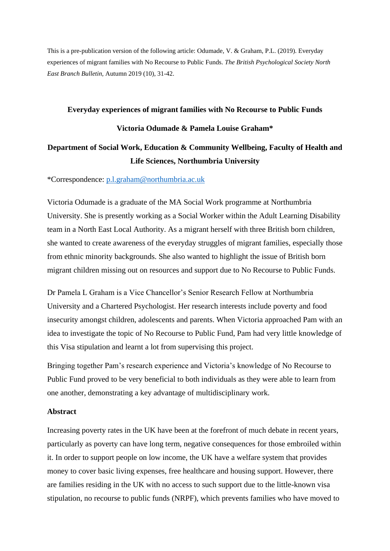This is a pre-publication version of the following article: Odumade, V. & Graham, P.L. (2019). Everyday experiences of migrant families with No Recourse to Public Funds. *The British Psychological Society North East Branch Bulletin,* Autumn 2019 (10)*,* 31-42.

# **Everyday experiences of migrant families with No Recourse to Public Funds Victoria Odumade & Pamela Louise Graham\***

# **Department of Social Work, Education & Community Wellbeing, Faculty of Health and Life Sciences, Northumbria University**

\*Correspondence: [p.l.graham@northumbria.ac.uk](mailto:p.l.graham@northumbria.ac.uk)

Victoria Odumade is a graduate of the MA Social Work programme at Northumbria University. She is presently working as a Social Worker within the Adult Learning Disability team in a North East Local Authority. As a migrant herself with three British born children, she wanted to create awareness of the everyday struggles of migrant families, especially those from ethnic minority backgrounds. She also wanted to highlight the issue of British born migrant children missing out on resources and support due to No Recourse to Public Funds.

Dr Pamela L Graham is a Vice Chancellor's Senior Research Fellow at Northumbria University and a Chartered Psychologist. Her research interests include poverty and food insecurity amongst children, adolescents and parents. When Victoria approached Pam with an idea to investigate the topic of No Recourse to Public Fund, Pam had very little knowledge of this Visa stipulation and learnt a lot from supervising this project.

Bringing together Pam's research experience and Victoria's knowledge of No Recourse to Public Fund proved to be very beneficial to both individuals as they were able to learn from one another, demonstrating a key advantage of multidisciplinary work.

### **Abstract**

Increasing poverty rates in the UK have been at the forefront of much debate in recent years, particularly as poverty can have long term, negative consequences for those embroiled within it. In order to support people on low income, the UK have a welfare system that provides money to cover basic living expenses, free healthcare and housing support. However, there are families residing in the UK with no access to such support due to the little-known visa stipulation, no recourse to public funds (NRPF), which prevents families who have moved to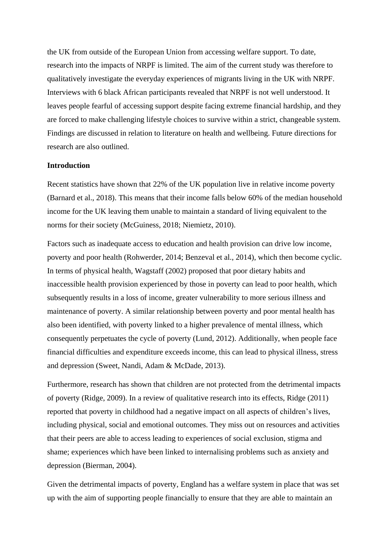the UK from outside of the European Union from accessing welfare support. To date, research into the impacts of NRPF is limited. The aim of the current study was therefore to qualitatively investigate the everyday experiences of migrants living in the UK with NRPF. Interviews with 6 black African participants revealed that NRPF is not well understood. It leaves people fearful of accessing support despite facing extreme financial hardship, and they are forced to make challenging lifestyle choices to survive within a strict, changeable system. Findings are discussed in relation to literature on health and wellbeing. Future directions for research are also outlined.

# **Introduction**

Recent statistics have shown that 22% of the UK population live in relative income poverty (Barnard et al., 2018). This means that their income falls below 60% of the median household income for the UK leaving them unable to maintain a standard of living equivalent to the norms for their society (McGuiness, 2018; Niemietz, 2010).

Factors such as inadequate access to education and health provision can drive low income, poverty and poor health (Rohwerder, 2014; Benzeval et al., 2014), which then become cyclic. In terms of physical health, Wagstaff (2002) proposed that poor dietary habits and inaccessible health provision experienced by those in poverty can lead to poor health, which subsequently results in a loss of income, greater vulnerability to more serious illness and maintenance of poverty. A similar relationship between poverty and poor mental health has also been identified, with poverty linked to a higher prevalence of mental illness, which consequently perpetuates the cycle of poverty (Lund, 2012). Additionally, when people face financial difficulties and expenditure exceeds income, this can lead to physical illness, stress and depression (Sweet, Nandi, Adam & McDade, 2013).

Furthermore, research has shown that children are not protected from the detrimental impacts of poverty (Ridge, 2009). In a review of qualitative research into its effects, Ridge (2011) reported that poverty in childhood had a negative impact on all aspects of children's lives, including physical, social and emotional outcomes. They miss out on resources and activities that their peers are able to access leading to experiences of social exclusion, stigma and shame; experiences which have been linked to internalising problems such as anxiety and depression (Bierman, 2004).

Given the detrimental impacts of poverty, England has a welfare system in place that was set up with the aim of supporting people financially to ensure that they are able to maintain an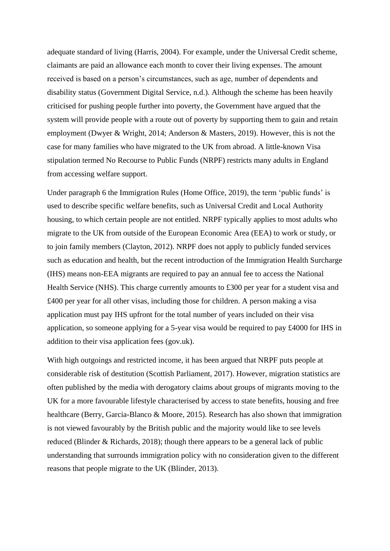adequate standard of living (Harris, 2004). For example, under the Universal Credit scheme, claimants are paid an allowance each month to cover their living expenses. The amount received is based on a person's circumstances, such as age, number of dependents and disability status (Government Digital Service, n.d.). Although the scheme has been heavily criticised for pushing people further into poverty, the Government have argued that the system will provide people with a route out of poverty by supporting them to gain and retain employment (Dwyer & Wright, 2014; Anderson & Masters, 2019). However, this is not the case for many families who have migrated to the UK from abroad. A little-known Visa stipulation termed No Recourse to Public Funds (NRPF) restricts many adults in England from accessing welfare support.

Under paragraph 6 the Immigration Rules (Home Office, 2019), the term 'public funds' is used to describe specific welfare benefits, such as Universal Credit and Local Authority housing, to which certain people are not entitled. NRPF typically applies to most adults who migrate to the UK from outside of the European Economic Area (EEA) to work or study, or to join family members (Clayton, 2012). NRPF does not apply to publicly funded services such as education and health, but the recent introduction of the Immigration Health Surcharge (IHS) means non-EEA migrants are required to pay an annual fee to access the National Health Service (NHS). This charge currently amounts to £300 per year for a student visa and £400 per year for all other visas, including those for children. A person making a visa application must pay IHS upfront for the total number of years included on their visa application, so someone applying for a 5-year visa would be required to pay £4000 for IHS in addition to their visa application fees (gov.uk).

With high outgoings and restricted income, it has been argued that NRPF puts people at considerable risk of destitution (Scottish Parliament, 2017). However, migration statistics are often published by the media with derogatory claims about groups of migrants moving to the UK for a more favourable lifestyle characterised by access to state benefits, housing and free healthcare (Berry, Garcia-Blanco & Moore, 2015). Research has also shown that immigration is not viewed favourably by the British public and the majority would like to see levels reduced (Blinder & Richards, 2018); though there appears to be a general lack of public understanding that surrounds immigration policy with no consideration given to the different reasons that people migrate to the UK (Blinder, 2013).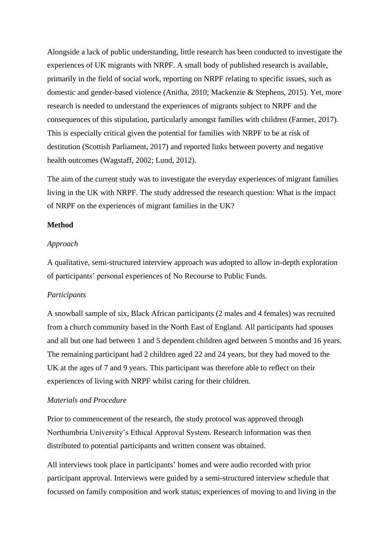Alongside a lack of public understanding, little research has been conducted to investigate the experiences of UK migrants with NRPF. A small body of published research is available, primarily in the field of social work, reporting on NRPF relating to specific issues, such as domestic and gender-based violence (Anitha, 2010; Mackenzie & Stephens, 2015). Yet, more research is needed to understand the experiences of migrants subject to NRPF and the consequences of this stipulation, particularly amongst families with children (Farmer, 2017). This is especially critical given the potential for families with NRPF to be at risk of destitution (Scottish Parliament, 2017) and reported links between poverty and negative health outcomes (Wagstaff, 2002; Lund, 2012).

The aim of the current study was to investigate the everyday experiences of migrant families living in the UK with NRPF. The study addressed the research question: What is the impact of NRPF on the experiences of migrant families in the UK?

# **Method**

### *Approach*

A qualitative, semi-structured interview approach was adopted to allow in-depth exploration of participants' personal experiences of No Recourse to Public Funds.

# *Participants*

A snowball sample of six, Black African participants (2 males and 4 females) was recruited from a church community based in the North East of England. All participants had spouses and all but one had between 1 and 5 dependent children aged between 5 months and 16 years. The remaining participant had 2 children aged 22 and 24 years, but they had moved to the UK at the ages of 7 and 9 years. This participant was therefore able to reflect on their experiences of living with NRPF whilst caring for their children.

# *Materials and Procedure*

Prior to commencement of the research, the study protocol was approved through Northumbria University's Ethical Approval System. Research information was then distributed to potential participants and written consent was obtained.

All interviews took place in participants' homes and were audio recorded with prior participant approval. Interviews were guided by a semi-structured interview schedule that focussed on family composition and work status; experiences of moving to and living in the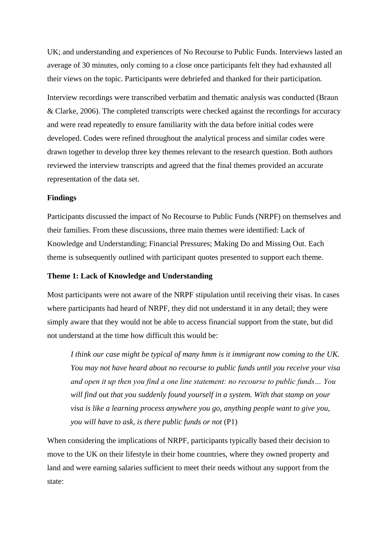UK; and understanding and experiences of No Recourse to Public Funds. Interviews lasted an average of 30 minutes, only coming to a close once participants felt they had exhausted all their views on the topic. Participants were debriefed and thanked for their participation.

Interview recordings were transcribed verbatim and thematic analysis was conducted (Braun & Clarke, 2006). The completed transcripts were checked against the recordings for accuracy and were read repeatedly to ensure familiarity with the data before initial codes were developed. Codes were refined throughout the analytical process and similar codes were drawn together to develop three key themes relevant to the research question. Both authors reviewed the interview transcripts and agreed that the final themes provided an accurate representation of the data set.

#### **Findings**

Participants discussed the impact of No Recourse to Public Funds (NRPF) on themselves and their families. From these discussions, three main themes were identified: Lack of Knowledge and Understanding; Financial Pressures; Making Do and Missing Out. Each theme is subsequently outlined with participant quotes presented to support each theme.

# **Theme 1: Lack of Knowledge and Understanding**

Most participants were not aware of the NRPF stipulation until receiving their visas. In cases where participants had heard of NRPF, they did not understand it in any detail; they were simply aware that they would not be able to access financial support from the state, but did not understand at the time how difficult this would be:

*I think our case might be typical of many hmm is it immigrant now coming to the UK. You may not have heard about no recourse to public funds until you receive your visa and open it up then you find a one line statement: no recourse to public funds… You will find out that you suddenly found yourself in a system. With that stamp on your visa is like a learning process anywhere you go, anything people want to give you, you will have to ask, is there public funds or not* (P1)

When considering the implications of NRPF, participants typically based their decision to move to the UK on their lifestyle in their home countries, where they owned property and land and were earning salaries sufficient to meet their needs without any support from the state: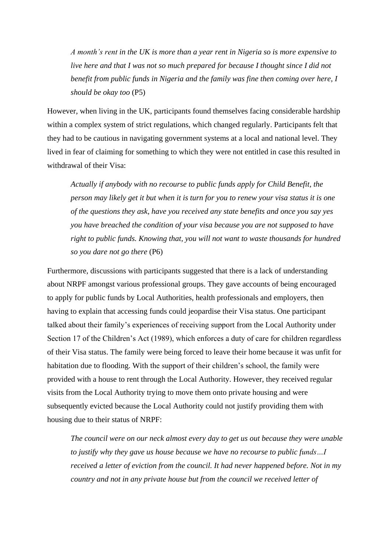*A month's rent in the UK is more than a year rent in Nigeria so is more expensive to live here and that I was not so much prepared for because I thought since I did not benefit from public funds in Nigeria and the family was fine then coming over here, I should be okay too* (P5)

However, when living in the UK, participants found themselves facing considerable hardship within a complex system of strict regulations, which changed regularly. Participants felt that they had to be cautious in navigating government systems at a local and national level. They lived in fear of claiming for something to which they were not entitled in case this resulted in withdrawal of their Visa:

*Actually if anybody with no recourse to public funds apply for Child Benefit, the person may likely get it but when it is turn for you to renew your visa status it is one of the questions they ask, have you received any state benefits and once you say yes you have breached the condition of your visa because you are not supposed to have right to public funds. Knowing that, you will not want to waste thousands for hundred so you dare not go there* (P6)

Furthermore, discussions with participants suggested that there is a lack of understanding about NRPF amongst various professional groups. They gave accounts of being encouraged to apply for public funds by Local Authorities, health professionals and employers, then having to explain that accessing funds could jeopardise their Visa status. One participant talked about their family's experiences of receiving support from the Local Authority under Section 17 of the Children's Act (1989), which enforces a duty of care for children regardless of their Visa status. The family were being forced to leave their home because it was unfit for habitation due to flooding. With the support of their children's school, the family were provided with a house to rent through the Local Authority. However, they received regular visits from the Local Authority trying to move them onto private housing and were subsequently evicted because the Local Authority could not justify providing them with housing due to their status of NRPF:

*The council were on our neck almost every day to get us out because they were unable to justify why they gave us house because we have no recourse to public funds…I received a letter of eviction from the council. It had never happened before. Not in my country and not in any private house but from the council we received letter of*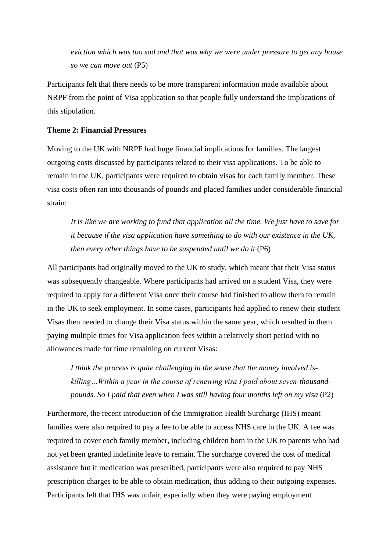*eviction which was too sad and that was why we were under pressure to get any house so we can move out* (P5)

Participants felt that there needs to be more transparent information made available about NRPF from the point of Visa application so that people fully understand the implications of this stipulation.

# **Theme 2: Financial Pressures**

Moving to the UK with NRPF had huge financial implications for families. The largest outgoing costs discussed by participants related to their visa applications. To be able to remain in the UK, participants were required to obtain visas for each family member. These visa costs often ran into thousands of pounds and placed families under considerable financial strain:

*It is like we are working to fund that application all the time. We just have to save for it because if the visa application have something to do with our existence in the UK, then every other things have to be suspended until we do it* (P6)

All participants had originally moved to the UK to study, which meant that their Visa status was subsequently changeable. Where participants had arrived on a student Visa, they were required to apply for a different Visa once their course had finished to allow them to remain in the UK to seek employment. In some cases, participants had applied to renew their student Visas then needed to change their Visa status within the same year, which resulted in them paying multiple times for Visa application fees within a relatively short period with no allowances made for time remaining on current Visas:

*I think the process is quite challenging in the sense that the money involved iskilling…Within a year in the course of renewing visa I paid about seven-thousandpounds. So I paid that even when I was still having four months left on my visa* (P2)

Furthermore, the recent introduction of the Immigration Health Surcharge (IHS) meant families were also required to pay a fee to be able to access NHS care in the UK. A fee was required to cover each family member, including children born in the UK to parents who had not yet been granted indefinite leave to remain. The surcharge covered the cost of medical assistance but if medication was prescribed, participants were also required to pay NHS prescription charges to be able to obtain medication, thus adding to their outgoing expenses. Participants felt that IHS was unfair, especially when they were paying employment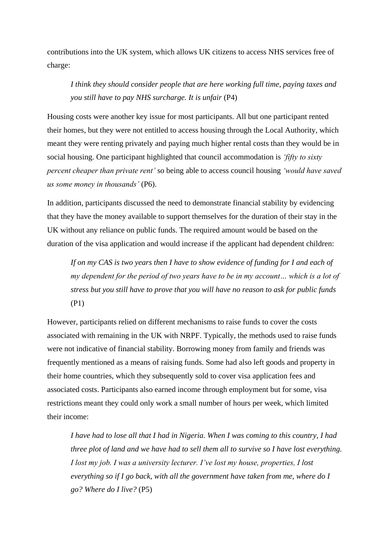contributions into the UK system, which allows UK citizens to access NHS services free of charge:

*I think they should consider people that are here working full time, paying taxes and you still have to pay NHS surcharge. It is unfair* (P4)

Housing costs were another key issue for most participants. All but one participant rented their homes, but they were not entitled to access housing through the Local Authority, which meant they were renting privately and paying much higher rental costs than they would be in social housing. One participant highlighted that council accommodation is *'fifty to sixty percent cheaper than private rent'* so being able to access council housing *'would have saved us some money in thousands'* (P6).

In addition, participants discussed the need to demonstrate financial stability by evidencing that they have the money available to support themselves for the duration of their stay in the UK without any reliance on public funds. The required amount would be based on the duration of the visa application and would increase if the applicant had dependent children:

If on my CAS is two years then I have to show evidence of funding for I and each of *my dependent for the period of two years have to be in my account… which is a lot of stress but you still have to prove that you will have no reason to ask for public funds* (P1)

However, participants relied on different mechanisms to raise funds to cover the costs associated with remaining in the UK with NRPF. Typically, the methods used to raise funds were not indicative of financial stability. Borrowing money from family and friends was frequently mentioned as a means of raising funds. Some had also left goods and property in their home countries, which they subsequently sold to cover visa application fees and associated costs. Participants also earned income through employment but for some, visa restrictions meant they could only work a small number of hours per week, which limited their income:

*I have had to lose all that I had in Nigeria. When I was coming to this country, I had three plot of land and we have had to sell them all to survive so I have lost everything. I lost my job. I was a university lecturer. I've lost my house, properties, I lost everything so if I go back, with all the government have taken from me, where do I go? Where do I live?* (P5)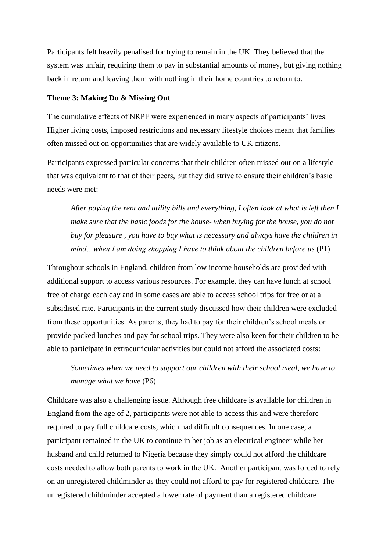Participants felt heavily penalised for trying to remain in the UK. They believed that the system was unfair, requiring them to pay in substantial amounts of money, but giving nothing back in return and leaving them with nothing in their home countries to return to.

### **Theme 3: Making Do & Missing Out**

The cumulative effects of NRPF were experienced in many aspects of participants' lives. Higher living costs, imposed restrictions and necessary lifestyle choices meant that families often missed out on opportunities that are widely available to UK citizens.

Participants expressed particular concerns that their children often missed out on a lifestyle that was equivalent to that of their peers, but they did strive to ensure their children's basic needs were met:

*After paying the rent and utility bills and everything, I often look at what is left then I make sure that the basic foods for the house- when buying for the house, you do not buy for pleasure , you have to buy what is necessary and always have the children in mind...when I am doing shopping I have to think about the children before us (P1)* 

Throughout schools in England, children from low income households are provided with additional support to access various resources. For example, they can have lunch at school free of charge each day and in some cases are able to access school trips for free or at a subsidised rate. Participants in the current study discussed how their children were excluded from these opportunities. As parents, they had to pay for their children's school meals or provide packed lunches and pay for school trips. They were also keen for their children to be able to participate in extracurricular activities but could not afford the associated costs:

*Sometimes when we need to support our children with their school meal, we have to manage what we have* (P6)

Childcare was also a challenging issue. Although free childcare is available for children in England from the age of 2, participants were not able to access this and were therefore required to pay full childcare costs, which had difficult consequences. In one case, a participant remained in the UK to continue in her job as an electrical engineer while her husband and child returned to Nigeria because they simply could not afford the childcare costs needed to allow both parents to work in the UK. Another participant was forced to rely on an unregistered childminder as they could not afford to pay for registered childcare. The unregistered childminder accepted a lower rate of payment than a registered childcare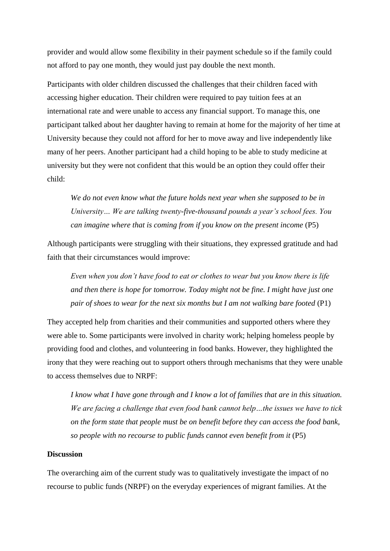provider and would allow some flexibility in their payment schedule so if the family could not afford to pay one month, they would just pay double the next month.

Participants with older children discussed the challenges that their children faced with accessing higher education. Their children were required to pay tuition fees at an international rate and were unable to access any financial support. To manage this, one participant talked about her daughter having to remain at home for the majority of her time at University because they could not afford for her to move away and live independently like many of her peers. Another participant had a child hoping to be able to study medicine at university but they were not confident that this would be an option they could offer their child:

*We do not even know what the future holds next year when she supposed to be in University… We are talking twenty-five-thousand pounds a year's school fees. You can imagine where that is coming from if you know on the present income* (P5)

Although participants were struggling with their situations, they expressed gratitude and had faith that their circumstances would improve:

*Even when you don't have food to eat or clothes to wear but you know there is life and then there is hope for tomorrow. Today might not be fine. I might have just one pair of shoes to wear for the next six months but I am not walking bare footed* (P1)

They accepted help from charities and their communities and supported others where they were able to. Some participants were involved in charity work; helping homeless people by providing food and clothes, and volunteering in food banks. However, they highlighted the irony that they were reaching out to support others through mechanisms that they were unable to access themselves due to NRPF:

*I know what I have gone through and I know a lot of families that are in this situation. We are facing a challenge that even food bank cannot help…the issues we have to tick on the form state that people must be on benefit before they can access the food bank, so people with no recourse to public funds cannot even benefit from it (P5)* 

# **Discussion**

The overarching aim of the current study was to qualitatively investigate the impact of no recourse to public funds (NRPF) on the everyday experiences of migrant families. At the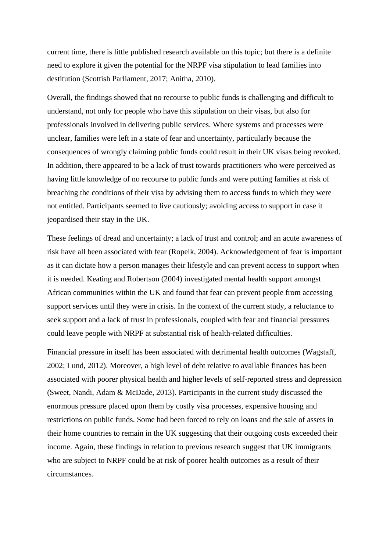current time, there is little published research available on this topic; but there is a definite need to explore it given the potential for the NRPF visa stipulation to lead families into destitution (Scottish Parliament, 2017; Anitha, 2010).

Overall, the findings showed that no recourse to public funds is challenging and difficult to understand, not only for people who have this stipulation on their visas, but also for professionals involved in delivering public services. Where systems and processes were unclear, families were left in a state of fear and uncertainty, particularly because the consequences of wrongly claiming public funds could result in their UK visas being revoked. In addition, there appeared to be a lack of trust towards practitioners who were perceived as having little knowledge of no recourse to public funds and were putting families at risk of breaching the conditions of their visa by advising them to access funds to which they were not entitled. Participants seemed to live cautiously; avoiding access to support in case it jeopardised their stay in the UK.

These feelings of dread and uncertainty; a lack of trust and control; and an acute awareness of risk have all been associated with fear (Ropeik, 2004). Acknowledgement of fear is important as it can dictate how a person manages their lifestyle and can prevent access to support when it is needed. Keating and Robertson (2004) investigated mental health support amongst African communities within the UK and found that fear can prevent people from accessing support services until they were in crisis. In the context of the current study, a reluctance to seek support and a lack of trust in professionals, coupled with fear and financial pressures could leave people with NRPF at substantial risk of health-related difficulties.

Financial pressure in itself has been associated with detrimental health outcomes (Wagstaff, 2002; Lund, 2012). Moreover, a high level of debt relative to available finances has been associated with poorer physical health and higher levels of self-reported stress and depression (Sweet, Nandi, Adam & McDade, 2013). Participants in the current study discussed the enormous pressure placed upon them by costly visa processes, expensive housing and restrictions on public funds. Some had been forced to rely on loans and the sale of assets in their home countries to remain in the UK suggesting that their outgoing costs exceeded their income. Again, these findings in relation to previous research suggest that UK immigrants who are subject to NRPF could be at risk of poorer health outcomes as a result of their circumstances.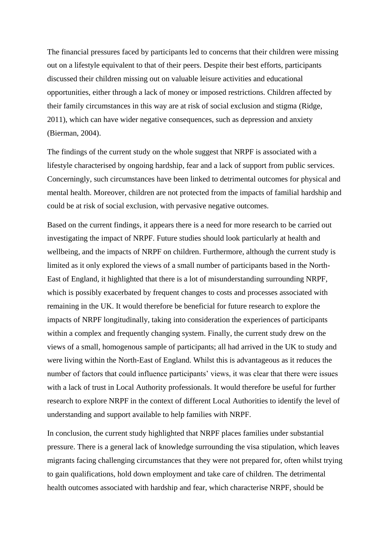The financial pressures faced by participants led to concerns that their children were missing out on a lifestyle equivalent to that of their peers. Despite their best efforts, participants discussed their children missing out on valuable leisure activities and educational opportunities, either through a lack of money or imposed restrictions. Children affected by their family circumstances in this way are at risk of social exclusion and stigma (Ridge, 2011), which can have wider negative consequences, such as depression and anxiety (Bierman, 2004).

The findings of the current study on the whole suggest that NRPF is associated with a lifestyle characterised by ongoing hardship, fear and a lack of support from public services. Concerningly, such circumstances have been linked to detrimental outcomes for physical and mental health. Moreover, children are not protected from the impacts of familial hardship and could be at risk of social exclusion, with pervasive negative outcomes.

Based on the current findings, it appears there is a need for more research to be carried out investigating the impact of NRPF. Future studies should look particularly at health and wellbeing, and the impacts of NRPF on children. Furthermore, although the current study is limited as it only explored the views of a small number of participants based in the North-East of England, it highlighted that there is a lot of misunderstanding surrounding NRPF, which is possibly exacerbated by frequent changes to costs and processes associated with remaining in the UK. It would therefore be beneficial for future research to explore the impacts of NRPF longitudinally, taking into consideration the experiences of participants within a complex and frequently changing system. Finally, the current study drew on the views of a small, homogenous sample of participants; all had arrived in the UK to study and were living within the North-East of England. Whilst this is advantageous as it reduces the number of factors that could influence participants' views, it was clear that there were issues with a lack of trust in Local Authority professionals. It would therefore be useful for further research to explore NRPF in the context of different Local Authorities to identify the level of understanding and support available to help families with NRPF.

In conclusion, the current study highlighted that NRPF places families under substantial pressure. There is a general lack of knowledge surrounding the visa stipulation, which leaves migrants facing challenging circumstances that they were not prepared for, often whilst trying to gain qualifications, hold down employment and take care of children. The detrimental health outcomes associated with hardship and fear, which characterise NRPF, should be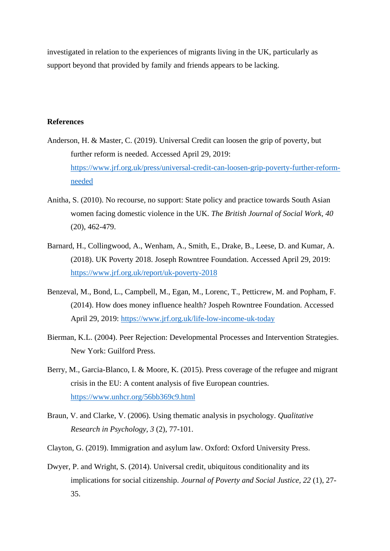investigated in relation to the experiences of migrants living in the UK, particularly as support beyond that provided by family and friends appears to be lacking.

# **References**

- Anderson, H. & Master, C. (2019). Universal Credit can loosen the grip of poverty, but further reform is needed. Accessed April 29, 2019: [https://www.jrf.org.uk/press/universal-credit-can-loosen-grip-poverty-further-reform](https://www.jrf.org.uk/press/universal-credit-can-loosen-grip-poverty-further-reform-needed)[needed](https://www.jrf.org.uk/press/universal-credit-can-loosen-grip-poverty-further-reform-needed)
- Anitha, S. (2010). No recourse, no support: State policy and practice towards South Asian women facing domestic violence in the UK. *The British Journal of Social Work, 40* (20), 462-479.
- Barnard, H., Collingwood, A., Wenham, A., Smith, E., Drake, B., Leese, D. and Kumar, A. (2018). UK Poverty 2018. Joseph Rowntree Foundation. Accessed April 29, 2019: <https://www.jrf.org.uk/report/uk-poverty-2018>
- Benzeval, M., Bond, L., Campbell, M., Egan, M., Lorenc, T., Petticrew, M. and Popham, F. (2014). How does money influence health? Jospeh Rowntree Foundation. Accessed April 29, 2019:<https://www.jrf.org.uk/life-low-income-uk-today>
- Bierman, K.L. (2004). Peer Rejection: Developmental Processes and Intervention Strategies. New York: Guilford Press.
- Berry, M., Garcia-Blanco, I. & Moore, K. (2015). Press coverage of the refugee and migrant crisis in the EU: A content analysis of five European countries. <https://www.unhcr.org/56bb369c9.html>
- Braun, V. and Clarke, V. (2006). Using thematic analysis in psychology. *Qualitative Research in Psychology, 3* (2), 77-101.
- Clayton, G. (2019). Immigration and asylum law. Oxford: Oxford University Press.
- Dwyer, P. and Wright, S. (2014). Universal credit, ubiquitous conditionality and its implications for social citizenship. *Journal of Poverty and Social Justice, 22* (1), 27- 35.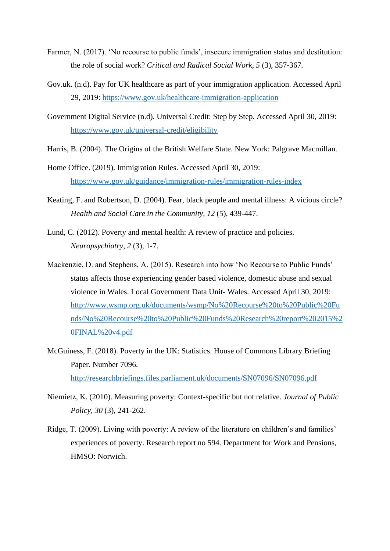- Farmer, N. (2017). 'No recourse to public funds', insecure immigration status and destitution: the role of social work? *Critical and Radical Social Work, 5* (3), 357-367.
- Gov.uk. (n.d). Pay for UK healthcare as part of your immigration application. Accessed April 29, 2019:<https://www.gov.uk/healthcare-immigration-application>
- Government Digital Service (n.d). Universal Credit: Step by Step. Accessed April 30, 2019: <https://www.gov.uk/universal-credit/eligibility>
- Harris, B. (2004). The Origins of the British Welfare State. New York: Palgrave Macmillan.
- Home Office. (2019). Immigration Rules. Accessed April 30, 2019: <https://www.gov.uk/guidance/immigration-rules/immigration-rules-index>
- Keating, F. and Robertson, D. (2004). Fear, black people and mental illness: A vicious circle? *Health and Social Care in the Community, 12* (5), 439-447.
- Lund, C. (2012). Poverty and mental health: A review of practice and policies. *Neuropsychiatry, 2* (3), 1-7.
- Mackenzie, D. and Stephens, A. (2015). Research into how 'No Recourse to Public Funds' status affects those experiencing gender based violence, domestic abuse and sexual violence in Wales. Local Government Data Unit- Wales. Accessed April 30, 2019: [http://www.wsmp.org.uk/documents/wsmp/No%20Recourse%20to%20Public%20Fu](http://www.wsmp.org.uk/documents/wsmp/No%20Recourse%20to%20Public%20Funds/No%20Recourse%20to%20Public%20Funds%20Research%20report%202015%20FINAL%20v4.pdf) [nds/No%20Recourse%20to%20Public%20Funds%20Research%20report%202015%2](http://www.wsmp.org.uk/documents/wsmp/No%20Recourse%20to%20Public%20Funds/No%20Recourse%20to%20Public%20Funds%20Research%20report%202015%20FINAL%20v4.pdf) [0FINAL%20v4.pdf](http://www.wsmp.org.uk/documents/wsmp/No%20Recourse%20to%20Public%20Funds/No%20Recourse%20to%20Public%20Funds%20Research%20report%202015%20FINAL%20v4.pdf)
- McGuiness, F. (2018). Poverty in the UK: Statistics. House of Commons Library Briefing Paper. Number 7096. <http://researchbriefings.files.parliament.uk/documents/SN07096/SN07096.pdf>
- Niemietz, K. (2010). Measuring poverty: Context-specific but not relative. *Journal of Public Policy, 30* (3), 241-262.
- Ridge, T. (2009). Living with poverty: A review of the literature on children's and families' experiences of poverty. Research report no 594. Department for Work and Pensions, HMSO: Norwich.